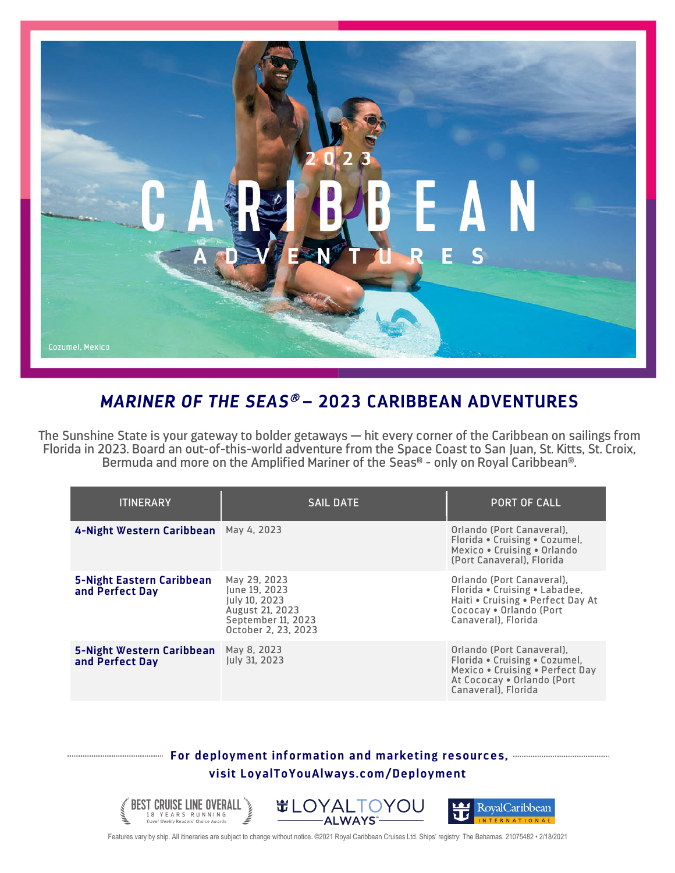

## *MARINER OF THE SEAS*<sup>â</sup> **– 2023 CARIBBEAN ADVENTURES**

The Sunshine State is your gateway to bolder getaways — hit every corner of the Caribbean on sailings from Florida in 2023. Board an out-of-this-world adventure from the Space Coast to San Juan, St. Kitts, St. Croix, Bermuda and more on the Amplified Mariner of the Seas® - only on Royal Caribbean®.

| <b>ITINERARY</b>                             | <b>SAIL DATE</b>                                                                                               | <b>PORT OF CALL</b>                                                                                                                                |
|----------------------------------------------|----------------------------------------------------------------------------------------------------------------|----------------------------------------------------------------------------------------------------------------------------------------------------|
| 4-Night Western Caribbean May 4, 2023        |                                                                                                                | Orlando (Port Canaveral).<br>Florida • Cruising • Cozumel,<br>Mexico • Cruising • Orlando<br>(Port Canaveral), Florida                             |
| 5-Night Eastern Caribbean<br>and Perfect Day | May 29, 2023<br>lune 19. 2023<br>July 10, 2023<br>August 21, 2023<br>September 11, 2023<br>October 2, 23, 2023 | Orlando (Port Canaveral),<br>Florida . Cruising . Labadee,<br>Haiti . Cruising . Perfect Day At<br>Cococay . Orlando (Port<br>Canaveral). Florida  |
| 5-Night Western Caribbean<br>and Perfect Day | May 8, 2023<br><b>Iuly 31, 2023</b>                                                                            | Orlando (Port Canaveral).<br>Florida • Cruising • Cozumel,<br>Mexico . Cruising . Perfect Day<br>At Cococay . Orlando (Port<br>Canaveral). Florida |

## **For deployment information and marketing resources, visit LoyalToYouAlways.com/Deployment**





Features vary by ship. All itineraries are subject to change without notice. ©2021 Royal Caribbean Cruises Ltd. Ships' registry: The Bahamas. 21075482 • 2/18/2021

BEST CRUISE LINE OVERALL **TRAVEL AS ARTICLE ARTICLE CONSUMER**<br>Travel Weekly Readers' Choice Awards